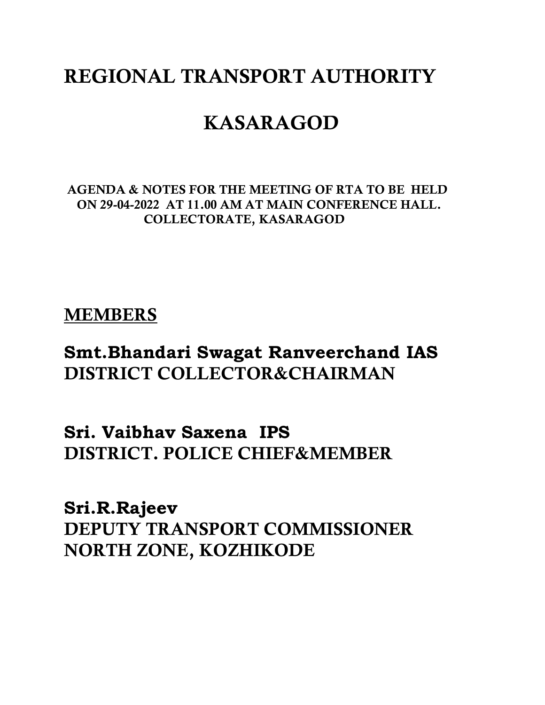# **REGIONAL TRANSPORT AUTHORITY**

# **KASARAGOD**

**AGENDA & NOTES FOR THE MEETING OF RTA TO BE HELD ON 29-04-2022 AT 11.00 AM AT MAIN CONFERENCE HALL. COLLECTORATE, KASARAGOD**

# **MEMBERS**

# **Smt.Bhandari Swagat Ranveerchand IAS DISTRICT COLLECTOR&CHAIRMAN**

**Sri. Vaibhav Saxena IPS DISTRICT. POLICE CHIEF&MEMBER**

**Sri.R.Rajeev DEPUTY TRANSPORT COMMISSIONER NORTH ZONE, KOZHIKODE**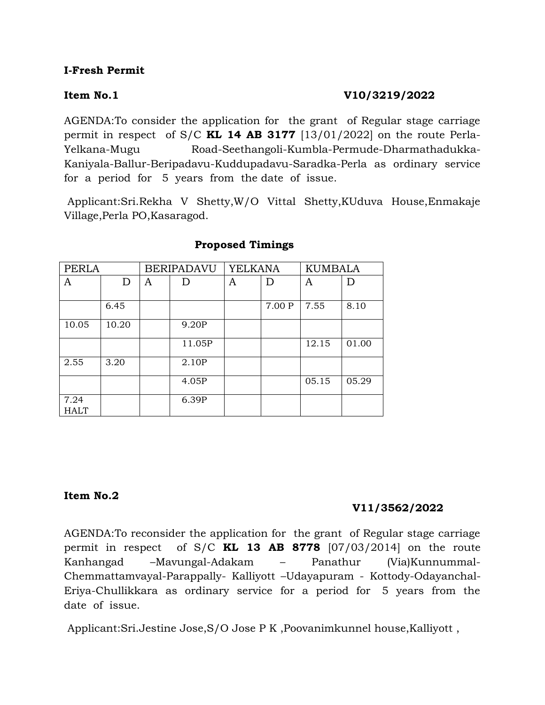# **I-Fresh Permit**

# **Item No.1** V10/3219/2022

AGENDA:To consider the application for the grant of Regular stage carriage permit in respect of S/C **KL 14 AB 3177** [13/01/2022] on the route Perla-Yelkana-Mugu Road-Seethangoli-Kumbla-Permude-Dharmathadukka-Kaniyala-Ballur-Beripadavu-Kuddupadavu-Saradka-Perla as ordinary service for a period for 5 years from the date of issue.

Applicant:Sri.Rekha V Shetty,W/O Vittal Shetty,KUduva House,Enmakaje Village,Perla PO,Kasaragod.

| PERLA               |       |   | <b>BERIPADAVU</b> | <b>YELKANA</b> |        | <b>KUMBALA</b> |       |
|---------------------|-------|---|-------------------|----------------|--------|----------------|-------|
| A                   | D     | A | D                 | A              | D      | A              | D     |
|                     | 6.45  |   |                   |                | 7.00 P | 7.55           | 8.10  |
| 10.05               | 10.20 |   | 9.20P             |                |        |                |       |
|                     |       |   | 11.05P            |                |        | 12.15          | 01.00 |
| 2.55                | 3.20  |   | 2.10P             |                |        |                |       |
|                     |       |   | 4.05P             |                |        | 05.15          | 05.29 |
| 7.24<br><b>HALT</b> |       |   | 6.39P             |                |        |                |       |

## **Proposed Timings**

# **Item No.2**

# **V11/3562/2022**

AGENDA:To reconsider the application for the grant of Regular stage carriage permit in respect of S/C **KL 13 AB 8778** [07/03/2014] on the route Kanhangad –Mavungal-Adakam – Panathur (Via)Kunnummal-Chemmattamvayal-Parappally- Kalliyott –Udayapuram - Kottody-Odayanchal-Eriya-Chullikkara as ordinary service for a period for 5 years from the date of issue.

Applicant:Sri.Jestine Jose,S/O Jose P K ,Poovanimkunnel house,Kalliyott ,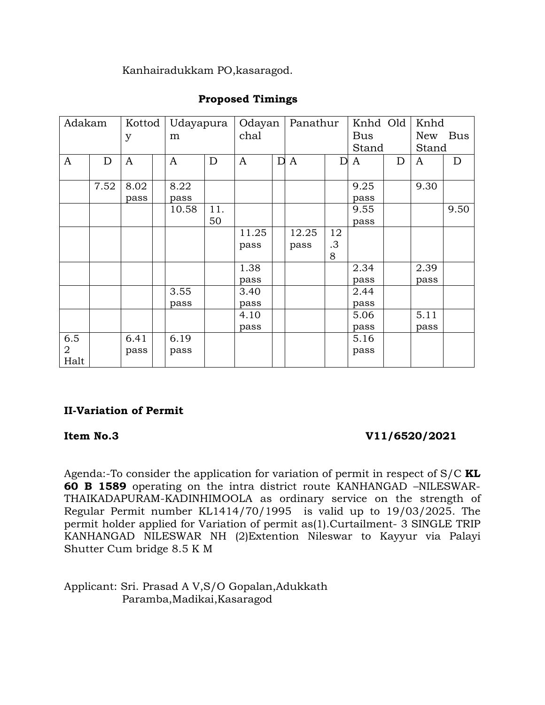Kanhairadukkam PO,kasaragod.

| Adakam         |      | Kottod | Udayapura    |     | Odayan |             | Panathur     |    | Knhd Old |   | Knhd       |            |
|----------------|------|--------|--------------|-----|--------|-------------|--------------|----|----------|---|------------|------------|
|                |      | y      | m            |     | chal   |             |              |    | Bus      |   | <b>New</b> | <b>Bus</b> |
|                |      |        |              |     |        |             |              |    | Stand    |   | Stand      |            |
| $\mathbf{A}$   | D    | A      | $\mathbf{A}$ | D   | A      | $\mathbf D$ | $\mathbf{A}$ | D  | A        | D | A          | D          |
|                |      |        |              |     |        |             |              |    |          |   |            |            |
|                | 7.52 | 8.02   | 8.22         |     |        |             |              |    | 9.25     |   | 9.30       |            |
|                |      | pass   | pass         |     |        |             |              |    | pass     |   |            |            |
|                |      |        | 10.58        | 11. |        |             |              |    | 9.55     |   |            | 9.50       |
|                |      |        |              | 50  |        |             |              |    | pass     |   |            |            |
|                |      |        |              |     | 11.25  |             | 12.25        | 12 |          |   |            |            |
|                |      |        |              |     | pass   |             | pass         | .3 |          |   |            |            |
|                |      |        |              |     |        |             |              | 8  |          |   |            |            |
|                |      |        |              |     | 1.38   |             |              |    | 2.34     |   | 2.39       |            |
|                |      |        |              |     | pass   |             |              |    | pass     |   | pass       |            |
|                |      |        | 3.55         |     | 3.40   |             |              |    | 2.44     |   |            |            |
|                |      |        | pass         |     | pass   |             |              |    | pass     |   |            |            |
|                |      |        |              |     | 4.10   |             |              |    | 5.06     |   | 5.11       |            |
|                |      |        |              |     | pass   |             |              |    | pass     |   | pass       |            |
| 6.5            |      | 6.41   | 6.19         |     |        |             |              |    | 5.16     |   |            |            |
| $\overline{2}$ |      | pass   | pass         |     |        |             |              |    | pass     |   |            |            |
| Halt           |      |        |              |     |        |             |              |    |          |   |            |            |

# **Proposed Timings**

# **II-Variation of Permit**

# **Item No.3** V11/6520/2021

Agenda:-To consider the application for variation of permit in respect of S/C **KL 60 B 1589** operating on the intra district route KANHANGAD –NILESWAR-THAIKADAPURAM-KADINHIMOOLA as ordinary service on the strength of Regular Permit number KL1414/70/1995 is valid up to 19/03/2025. The permit holder applied for Variation of permit as(1).Curtailment- 3 SINGLE TRIP KANHANGAD NILESWAR NH (2)Extention Nileswar to Kayyur via Palayi Shutter Cum bridge 8.5 K M

Applicant: Sri. Prasad A V,S/O Gopalan,Adukkath Paramba,Madikai,Kasaragod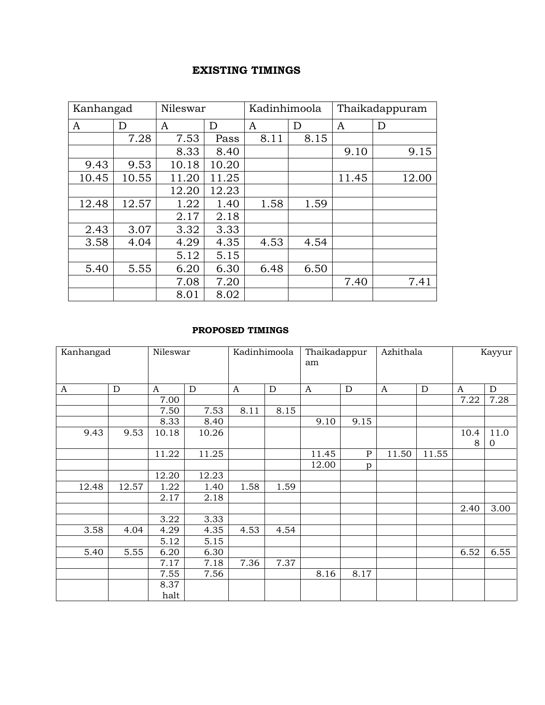# **EXISTING TIMINGS**

| Kanhangad |       | Nileswar |       | Kadinhimoola |      |       | Thaikadappuram |
|-----------|-------|----------|-------|--------------|------|-------|----------------|
| A         | D     | A        | D     | A            | D    | A     | D              |
|           | 7.28  | 7.53     | Pass  | 8.11         | 8.15 |       |                |
|           |       | 8.33     | 8.40  |              |      | 9.10  | 9.15           |
| 9.43      | 9.53  | 10.18    | 10.20 |              |      |       |                |
| 10.45     | 10.55 | 11.20    | 11.25 |              |      | 11.45 | 12.00          |
|           |       | 12.20    | 12.23 |              |      |       |                |
| 12.48     | 12.57 | 1.22     | 1.40  | 1.58         | 1.59 |       |                |
|           |       | 2.17     | 2.18  |              |      |       |                |
| 2.43      | 3.07  | 3.32     | 3.33  |              |      |       |                |
| 3.58      | 4.04  | 4.29     | 4.35  | 4.53         | 4.54 |       |                |
|           |       | 5.12     | 5.15  |              |      |       |                |
| 5.40      | 5.55  | 6.20     | 6.30  | 6.48         | 6.50 |       |                |
|           |       | 7.08     | 7.20  |              |      | 7.40  | 7.41           |
|           |       | 8.01     | 8.02  |              |      |       |                |

### **PROPOSED TIMINGS**

| Kanhangad |             | Nileswar     |       | Kadinhimoola     |             | Thaikadappur |              | Azhithala        |             | Kayyur           |              |
|-----------|-------------|--------------|-------|------------------|-------------|--------------|--------------|------------------|-------------|------------------|--------------|
|           |             |              |       |                  |             | am           |              |                  |             |                  |              |
|           |             |              |       |                  |             |              |              |                  |             |                  |              |
| A         | $\mathbf D$ | $\mathbf{A}$ | D     | $\boldsymbol{A}$ | $\mathbf D$ | $\mathbf{A}$ | D            | $\boldsymbol{A}$ | $\mathbf D$ | $\boldsymbol{A}$ | D            |
|           |             | 7.00         |       |                  |             |              |              |                  |             | 7.22             | 7.28         |
|           |             | 7.50         | 7.53  | 8.11             | 8.15        |              |              |                  |             |                  |              |
|           |             | 8.33         | 8.40  |                  |             | 9.10         | 9.15         |                  |             |                  |              |
| 9.43      | 9.53        | 10.18        | 10.26 |                  |             |              |              |                  |             | 10.4             | 11.0         |
|           |             |              |       |                  |             |              |              |                  |             | 8                | $\mathbf{0}$ |
|           |             | 11.22        | 11.25 |                  |             | 11.45        | $\, {\bf P}$ | 11.50            | 11.55       |                  |              |
|           |             |              |       |                  |             | 12.00        | p            |                  |             |                  |              |
|           |             | 12.20        | 12.23 |                  |             |              |              |                  |             |                  |              |
| 12.48     | 12.57       | 1.22         | 1.40  | 1.58             | 1.59        |              |              |                  |             |                  |              |
|           |             | 2.17         | 2.18  |                  |             |              |              |                  |             |                  |              |
|           |             |              |       |                  |             |              |              |                  |             | 2.40             | 3.00         |
|           |             | 3.22         | 3.33  |                  |             |              |              |                  |             |                  |              |
| 3.58      | 4.04        | 4.29         | 4.35  | 4.53             | 4.54        |              |              |                  |             |                  |              |
|           |             | 5.12         | 5.15  |                  |             |              |              |                  |             |                  |              |
| 5.40      | 5.55        | 6.20         | 6.30  |                  |             |              |              |                  |             | 6.52             | 6.55         |
|           |             | 7.17         | 7.18  | 7.36             | 7.37        |              |              |                  |             |                  |              |
|           |             | 7.55         | 7.56  |                  |             | 8.16         | 8.17         |                  |             |                  |              |
|           |             | 8.37         |       |                  |             |              |              |                  |             |                  |              |
|           |             | halt         |       |                  |             |              |              |                  |             |                  |              |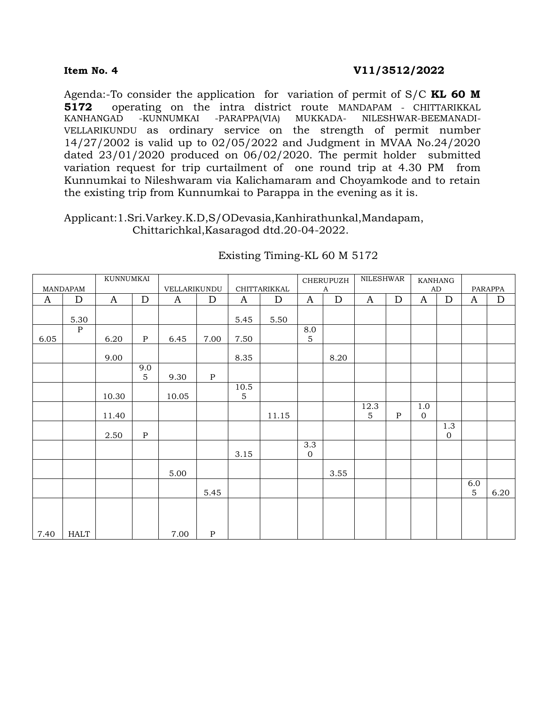Agenda:-To consider the application for variation of permit of S/C **KL 60 M 5172** operating on the intra district route MANDAPAM - CHITTARIKKAL KANHANGAD -KUNNUMKAI -PARAPPA(VIA) MUKKADA- NILESHWAR-BEEMANADI-VELLARIKUNDU as ordinary service on the strength of permit number 14/27/2002 is valid up to 02/05/2022 and Judgment in MVAA No.24/2020 dated 23/01/2020 produced on 06/02/2020. The permit holder submitted variation request for trip curtailment of one round trip at 4.30 PM from Kunnumkai to Nileshwaram via Kalichamaram and Choyamkode and to retain the existing trip from Kunnumkai to Parappa in the evening as it is.

Applicant:1.Sri.Varkey.K.D,S/ODevasia,Kanhirathunkal,Mandapam, Chittarichkal,Kasaragod dtd.20-04-2022.

|              |                 | KUNNUMKAI    |              |              |           |              |              |                                 | CHERUPUZH    | <b>NILESHWAR</b>       |              |                     | KANHANG                 |                       |             |
|--------------|-----------------|--------------|--------------|--------------|-----------|--------------|--------------|---------------------------------|--------------|------------------------|--------------|---------------------|-------------------------|-----------------------|-------------|
|              | <b>MANDAPAM</b> |              |              | VELLARIKUNDU |           |              | CHITTARIKKAL |                                 | $\mathbf{A}$ |                        |              |                     | AD                      |                       | PARAPPA     |
| $\mathbf{A}$ | $\mathbf D$     | $\mathbf{A}$ | $\mathbf D$  | $\mathbf{A}$ | ${\rm D}$ | $\mathbf{A}$ | $\mathbf D$  | $\mathbf{A}$                    | ${\rm D}$    | $\mathbf{A}$           | ${\rm D}$    | $\mathbf{A}$        | ${\rm D}$               | $\mathbf{A}$          | $\mathbf D$ |
|              | 5.30            |              |              |              |           | 5.45         | 5.50         |                                 |              |                        |              |                     |                         |                       |             |
|              | $\mathbf P$     |              |              |              |           |              |              | 8.0                             |              |                        |              |                     |                         |                       |             |
| 6.05         |                 | 6.20         | $\, {\bf P}$ | 6.45         | 7.00      | 7.50         |              | 5                               |              |                        |              |                     |                         |                       |             |
|              |                 | 9.00         |              |              |           | 8.35         |              |                                 | 8.20         |                        |              |                     |                         |                       |             |
|              |                 |              | 9.0<br>5     | 9.30         | ${\bf P}$ |              |              |                                 |              |                        |              |                     |                         |                       |             |
|              |                 | 10.30        |              | 10.05        |           | 10.5<br>5    |              |                                 |              |                        |              |                     |                         |                       |             |
|              |                 | 11.40        |              |              |           |              | 11.15        |                                 |              | 12.3<br>$\overline{5}$ | $\, {\bf P}$ | 1.0<br>$\mathbf{0}$ |                         |                       |             |
|              |                 | 2.50         | $\, {\bf P}$ |              |           |              |              |                                 |              |                        |              |                     | 1.3<br>$\boldsymbol{0}$ |                       |             |
|              |                 |              |              |              |           | 3.15         |              | $\overline{3.3}$<br>$\mathbf 0$ |              |                        |              |                     |                         |                       |             |
|              |                 |              |              | 5.00         |           |              |              |                                 | 3.55         |                        |              |                     |                         |                       |             |
|              |                 |              |              |              | 5.45      |              |              |                                 |              |                        |              |                     |                         | 6.0<br>$\overline{5}$ | 6.20        |
|              |                 |              |              |              |           |              |              |                                 |              |                        |              |                     |                         |                       |             |
| 7.40         | <b>HALT</b>     |              |              | 7.00         | ${\bf P}$ |              |              |                                 |              |                        |              |                     |                         |                       |             |

# Existing Timing-KL 60 M 5172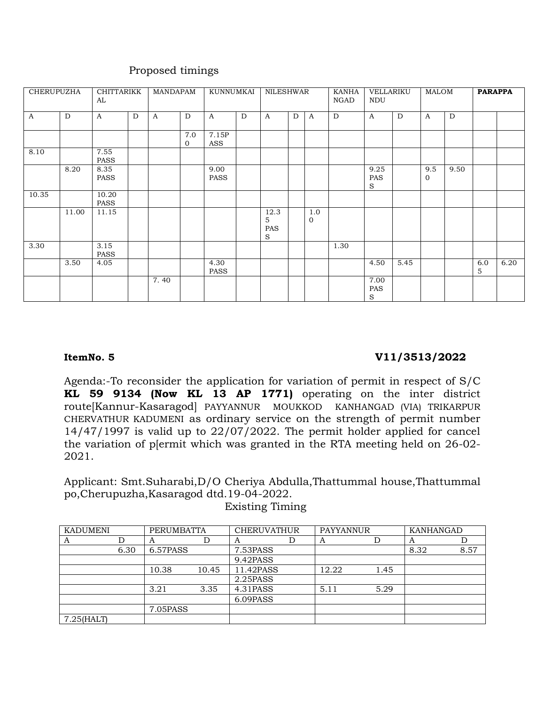| CHERUPUZHA   |       | CHITTARIKK<br>AL     |   | MANDAPAM     |                       | KUNNUMKAI           |   | NILESHWAR             |   |                 | KANHA<br>NGAD | VELLARIKU<br><b>NDU</b> |      | MALOM                 |      | <b>PARAPPA</b> |      |
|--------------|-------|----------------------|---|--------------|-----------------------|---------------------|---|-----------------------|---|-----------------|---------------|-------------------------|------|-----------------------|------|----------------|------|
| $\mathbf{A}$ | D     | $\mathbf{A}$         | D | $\mathbf{A}$ | D                     | $\mathbf{A}$        | D | $\mathbf{A}$          | D | $\mathbf{A}$    | D             | $\mathbf{A}$            | D    | $\mathbf{A}$          | D    |                |      |
|              |       |                      |   |              | 7.0<br>$\overline{0}$ | 7.15P<br>ASS        |   |                       |   |                 |               |                         |      |                       |      |                |      |
| 8.10         |       | 7.55<br>PASS         |   |              |                       |                     |   |                       |   |                 |               |                         |      |                       |      |                |      |
|              | 8.20  | 8.35<br>PASS         |   |              |                       | 9.00<br><b>PASS</b> |   |                       |   |                 |               | 9.25<br>PAS<br>S        |      | 9.5<br>$\overline{0}$ | 9.50 |                |      |
| 10.35        |       | 10.20<br><b>PASS</b> |   |              |                       |                     |   |                       |   |                 |               |                         |      |                       |      |                |      |
|              | 11.00 | 11.15                |   |              |                       |                     |   | 12.3<br>5<br>PAS<br>S |   | 1.0<br>$\Omega$ |               |                         |      |                       |      |                |      |
| 3.30         |       | 3.15<br>PASS         |   |              |                       |                     |   |                       |   |                 | 1.30          |                         |      |                       |      |                |      |
|              | 3.50  | 4.05                 |   |              |                       | 4.30<br>PASS        |   |                       |   |                 |               | 4.50                    | 5.45 |                       |      | 6.0<br>5       | 6.20 |
|              |       |                      |   | 7.40         |                       |                     |   |                       |   |                 |               | 7.00<br>PAS<br>$\rm S$  |      |                       |      |                |      |

# Proposed timings

# **ItemNo. 5 V11/3513/2022**

Agenda:-To reconsider the application for variation of permit in respect of S/C **KL 59 9134 (Now KL 13 AP 1771)** operating on the inter district route[Kannur-Kasaragod] PAYYANNUR MOUKKOD KANHANGAD (VIA) TRIKARPUR CHERVATHUR KADUMENI as ordinary service on the strength of permit number 14/47/1997 is valid up to 22/07/2022. The permit holder applied for cancel the variation of p[ermit which was granted in the RTA meeting held on 26-02- 2021.

Applicant: Smt.Suharabi,D/O Cheriya Abdulla,Thattummal house,Thattummal po,Cherupuzha,Kasaragod dtd.19-04-2022.

Existing Timing

| <b>KADUMENI</b> |      | PERUMBATTA |       | <b>CHERUVATHUR</b> | <b>PAYYANNUR</b> |      | KANHANGAD |      |
|-----------------|------|------------|-------|--------------------|------------------|------|-----------|------|
| A               |      | A          | .)    | A                  | А                |      | A         |      |
|                 | 6.30 | 6.57PASS   |       | 7.53PASS           |                  |      | 8.32      | 8.57 |
|                 |      |            |       | 9.42PASS           |                  |      |           |      |
|                 |      | 10.38      | 10.45 | 11.42PASS          | 12.22            | 1.45 |           |      |
|                 |      |            |       | 2.25PASS           |                  |      |           |      |
|                 |      | 3.21       | 3.35  | 4.31PASS           | 5.11             | 5.29 |           |      |
|                 |      |            |       | 6.09PASS           |                  |      |           |      |
|                 |      | 7.05PASS   |       |                    |                  |      |           |      |
| $7.25$ (HALT)   |      |            |       |                    |                  |      |           |      |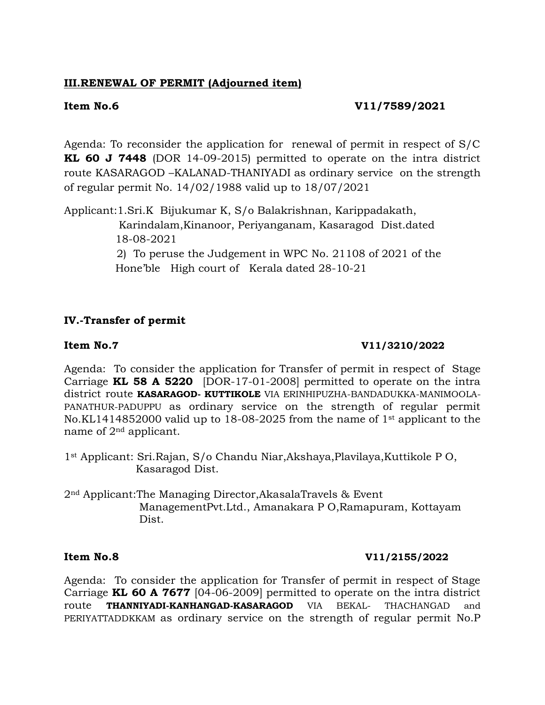# **III.RENEWAL OF PERMIT (Adjourned item)**

# **Item No.6 V11/7589/2021**

Agenda: To reconsider the application for renewal of permit in respect of S/C **KL 60 J 7448** (DOR 14-09-2015) permitted to operate on the intra district route KASARAGOD –KALANAD-THANIYADI as ordinary service on the strength of regular permit No. 14/02/1988 valid up to 18/07/2021

Applicant:1.Sri.K Bijukumar K, S/o Balakrishnan, Karippadakath, Karindalam,Kinanoor, Periyanganam, Kasaragod Dist.dated 18-08-2021 2) To peruse the Judgement in WPC No. 21108 of 2021 of the

Hone'ble High court of Kerala dated 28-10-21

# **IV.-Transfer of permit**

## **Item No.7** V11/3210/2022

Agenda: To consider the application for Transfer of permit in respect of Stage Carriage **KL 58 A 5220** [DOR-17-01-2008] permitted to operate on the intra district route **KASARAGOD- KUTTIKOLE** VIA ERINHIPUZHA-BANDADUKKA-MANIMOOLA-PANATHUR-PADUPPU as ordinary service on the strength of regular permit No.KL1414852000 valid up to 18-08-2025 from the name of 1st applicant to the name of 2nd applicant.

1st Applicant: Sri.Rajan, S/o Chandu Niar,Akshaya,Plavilaya,Kuttikole P O, Kasaragod Dist.

2nd Applicant:The Managing Director,AkasalaTravels & Event ManagementPvt.Ltd., Amanakara P O,Ramapuram, Kottayam Dist.

### **Item No.8 V11/2155/2022**

Agenda: To consider the application for Transfer of permit in respect of Stage Carriage **KL 60 A 7677** [04-06-2009] permitted to operate on the intra district route **THANNIYADI-KANHANGAD-KASARAGOD** VIA BEKAL- THACHANGAD and PERIYATTADDKKAM as ordinary service on the strength of regular permit No.P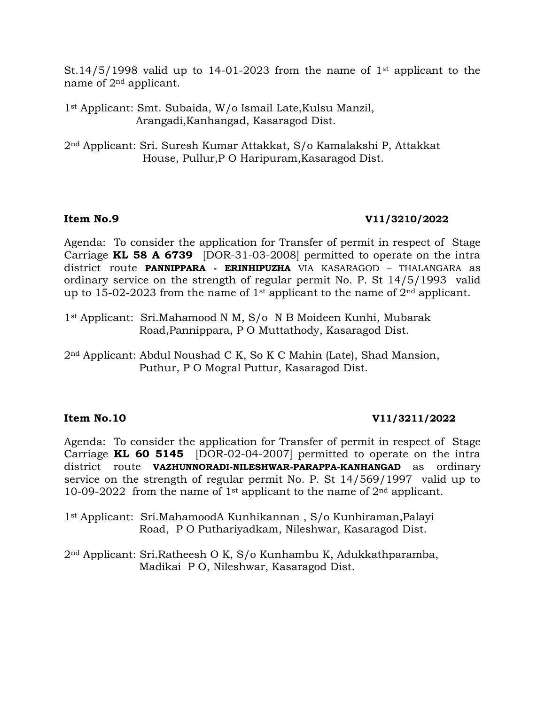St.14/5/1998 valid up to 14-01-2023 from the name of 1<sup>st</sup> applicant to the name of 2nd applicant.

1st Applicant: Smt. Subaida, W/o Ismail Late,Kulsu Manzil, Arangadi,Kanhangad, Kasaragod Dist.

2nd Applicant: Sri. Suresh Kumar Attakkat, S/o Kamalakshi P, Attakkat House, Pullur,P O Haripuram,Kasaragod Dist.

## **Item No.9 V11/3210/2022**

Agenda: To consider the application for Transfer of permit in respect of Stage Carriage **KL 58 A 6739** [DOR-31-03-2008] permitted to operate on the intra district route **PANNIPPARA - ERINHIPUZHA** VIA KASARAGOD – THALANGARA as ordinary service on the strength of regular permit No. P. St 14/5/1993 valid up to 15-02-2023 from the name of 1<sup>st</sup> applicant to the name of  $2<sup>nd</sup>$  applicant.

1st Applicant: Sri.Mahamood N M, S/o N B Moideen Kunhi, Mubarak Road,Pannippara, P O Muttathody, Kasaragod Dist.

2nd Applicant: Abdul Noushad C K, So K C Mahin (Late), Shad Mansion, Puthur, P O Mogral Puttur, Kasaragod Dist.

# **Item No.10 V11/3211/2022**

Agenda: To consider the application for Transfer of permit in respect of Stage Carriage **KL 60 5145** [DOR-02-04-2007] permitted to operate on the intra district route **VAZHUNNORADI-NILESHWAR-PARAPPA-KANHANGAD** as ordinary service on the strength of regular permit No. P. St 14/569/1997 valid up to 10-09-2022 from the name of 1<sup>st</sup> applicant to the name of  $2<sup>nd</sup>$  applicant.

1st Applicant: Sri.MahamoodA Kunhikannan , S/o Kunhiraman,Palayi Road, P O Puthariyadkam, Nileshwar, Kasaragod Dist.

2nd Applicant: Sri.Ratheesh O K, S/o Kunhambu K, Adukkathparamba, Madikai P O, Nileshwar, Kasaragod Dist.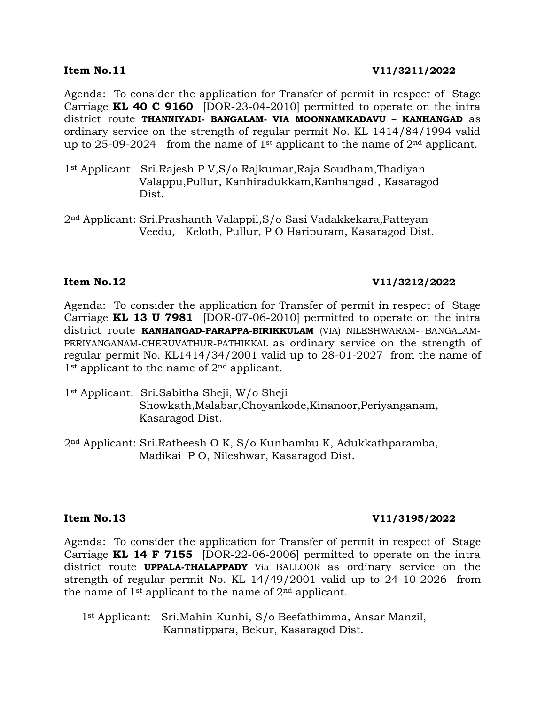Agenda: To consider the application for Transfer of permit in respect of Stage Carriage **KL 40 C 9160** [DOR-23-04-2010] permitted to operate on the intra district route **THANNIYADI- BANGALAM- VIA MOONNAMKADAVU – KANHANGAD** as ordinary service on the strength of regular permit No. KL 1414/84/1994 valid up to 25-09-2024 from the name of  $1<sup>st</sup>$  applicant to the name of  $2<sup>nd</sup>$  applicant.

- 1st Applicant: Sri.Rajesh P V,S/o Rajkumar,Raja Soudham,Thadiyan Valappu,Pullur, Kanhiradukkam,Kanhangad , Kasaragod Dist.
- 2nd Applicant: Sri.Prashanth Valappil,S/o Sasi Vadakkekara,Patteyan Veedu, Keloth, Pullur, P O Haripuram, Kasaragod Dist.

## **Item No.12 V11/3212/2022**

Agenda: To consider the application for Transfer of permit in respect of Stage Carriage **KL 13 U 7981** [DOR-07-06-2010] permitted to operate on the intra district route **KANHANGAD-PARAPPA-BIRIKKULAM** (VIA) NILESHWARAM- BANGALAM-PERIYANGANAM-CHERUVATHUR-PATHIKKAL as ordinary service on the strength of regular permit No. KL1414/34/2001 valid up to 28-01-2027 from the name of  $1<sup>st</sup>$  applicant to the name of  $2<sup>nd</sup>$  applicant.

- 1st Applicant: Sri.Sabitha Sheji, W/o Sheji Showkath,Malabar,Choyankode,Kinanoor,Periyanganam, Kasaragod Dist.
- 2nd Applicant: Sri.Ratheesh O K, S/o Kunhambu K, Adukkathparamba, Madikai P O, Nileshwar, Kasaragod Dist.

# **Item No.13 V11/3195/2022**

Agenda: To consider the application for Transfer of permit in respect of Stage Carriage **KL 14 F 7155** [DOR-22-06-2006] permitted to operate on the intra district route **UPPALA-THALAPPADY** Via BALLOOR as ordinary service on the strength of regular permit No. KL 14/49/2001 valid up to 24-10-2026 from the name of  $1<sup>st</sup>$  applicant to the name of  $2<sup>nd</sup>$  applicant.

 1st Applicant: Sri.Mahin Kunhi, S/o Beefathimma, Ansar Manzil, Kannatippara, Bekur, Kasaragod Dist.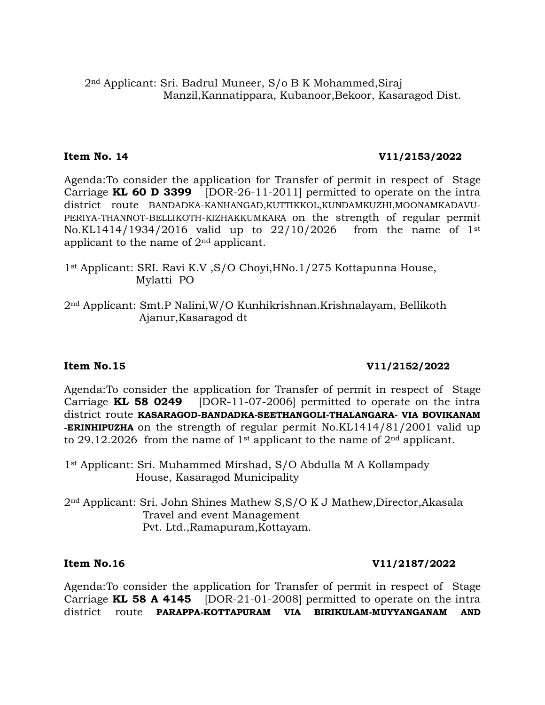# **Item No. 14 V11/2153/2022**

Agenda:To consider the application for Transfer of permit in respect of Stage Carriage **KL 60 D 3399** [DOR-26-11-2011] permitted to operate on the intra district route BANDADKA-KANHANGAD,KUTTIKKOL,KUNDAMKUZHI,MOONAMKADAVU-PERIYA-THANNOT-BELLIKOTH-KIZHAKKUMKARA on the strength of regular permit No.KL1414/1934/2016 valid up to 22/10/2026 from the name of 1st applicant to the name of  $2<sup>nd</sup>$  applicant.

- 1st Applicant: SRI. Ravi K.V ,S/O Choyi,HNo.1/275 Kottapunna House, Mylatti PO
- 2nd Applicant: Smt.P Nalini,W/O Kunhikrishnan.Krishnalayam, Bellikoth Ajanur,Kasaragod dt

### **Item No.15 V11/2152/2022**

Agenda:To consider the application for Transfer of permit in respect of Stage Carriage **KL 58 0249** [DOR-11-07-2006] permitted to operate on the intra district route **KASARAGOD-BANDADKA-SEETHANGOLI-THALANGARA- VIA BOVIKANAM -ERINHIPUZHA** on the strength of regular permit No.KL1414/81/2001 valid up to 29.12.2026 from the name of 1<sup>st</sup> applicant to the name of  $2<sup>nd</sup>$  applicant.

1st Applicant: Sri. Muhammed Mirshad, S/O Abdulla M A Kollampady House, Kasaragod Municipality

2nd Applicant: Sri. John Shines Mathew S,S/O K J Mathew,Director,Akasala Travel and event Management Pvt. Ltd.,Ramapuram,Kottayam.

# **Item No.16 V11/2187/2022**

Agenda:To consider the application for Transfer of permit in respect of Stage Carriage **KL 58 A 4145** [DOR-21-01-2008] permitted to operate on the intra district route **PARAPPA-KOTTAPURAM VIA BIRIKULAM-MUYYANGANAM AND**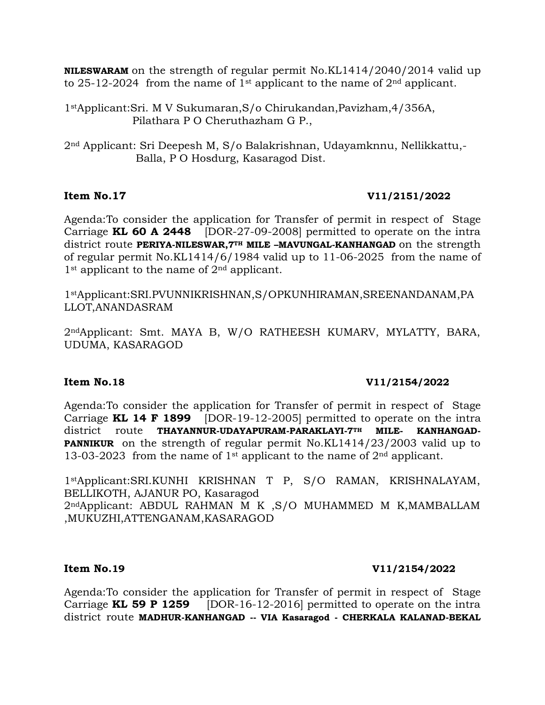**NILESWARAM** on the strength of regular permit No.KL1414/2040/2014 valid up to 25-12-2024 from the name of 1<sup>st</sup> applicant to the name of  $2<sup>nd</sup>$  applicant.

1stApplicant:Sri. M V Sukumaran,S/o Chirukandan,Pavizham,4/356A, Pilathara P O Cheruthazham G P.,

2nd Applicant: Sri Deepesh M, S/o Balakrishnan, Udayamknnu, Nellikkattu,- Balla, P O Hosdurg, Kasaragod Dist.

# **Item No.17 V11/2151/2022**

Agenda:To consider the application for Transfer of permit in respect of Stage Carriage **KL 60 A 2448** [DOR-27-09-2008] permitted to operate on the intra district route **PERIYA-NILESWAR,7TH MILE –MAVUNGAL-KANHANGAD** on the strength of regular permit No.KL1414/6/1984 valid up to 11-06-2025 from the name of 1<sup>st</sup> applicant to the name of 2<sup>nd</sup> applicant.

1stApplicant:SRI.PVUNNIKRISHNAN,S/OPKUNHIRAMAN,SREENANDANAM,PA LLOT,ANANDASRAM

2ndApplicant: Smt. MAYA B, W/O RATHEESH KUMARV, MYLATTY, BARA, UDUMA, KASARAGOD

### **Item No.18 V11/2154/2022**

Agenda:To consider the application for Transfer of permit in respect of Stage Carriage **KL 14 F 1899** [DOR-19-12-2005] permitted to operate on the intra district route **THAYANNUR-UDAYAPURAM-PARAKLAYI-7TH MILE- KANHANGAD-PANNIKUR** on the strength of regular permit No.KL1414/23/2003 valid up to 13-03-2023 from the name of 1<sup>st</sup> applicant to the name of  $2<sup>nd</sup>$  applicant.

1stApplicant:SRI.KUNHI KRISHNAN T P, S/O RAMAN, KRISHNALAYAM, BELLIKOTH, AJANUR PO, Kasaragod 2ndApplicant: ABDUL RAHMAN M K ,S/O MUHAMMED M K,MAMBALLAM ,MUKUZHI,ATTENGANAM,KASARAGOD

### **Item No.19 V11/2154/2022**

Agenda:To consider the application for Transfer of permit in respect of Stage Carriage **KL 59 P 1259** [DOR-16-12-2016] permitted to operate on the intra district route **MADHUR-KANHANGAD -- VIA Kasaragod - CHERKALA KALANAD-BEKAL**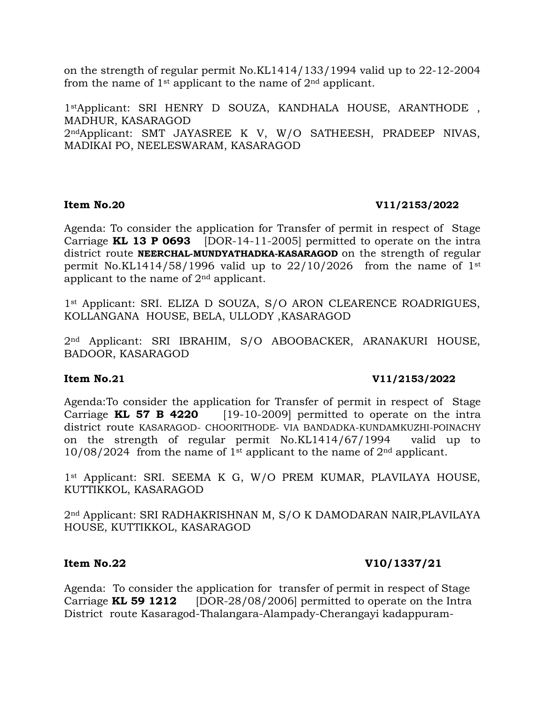on the strength of regular permit No.KL1414/133/1994 valid up to 22-12-2004 from the name of  $1<sup>st</sup>$  applicant to the name of  $2<sup>nd</sup>$  applicant.

1stApplicant: SRI HENRY D SOUZA, KANDHALA HOUSE, ARANTHODE , MADHUR, KASARAGOD 2ndApplicant: SMT JAYASREE K V, W/O SATHEESH, PRADEEP NIVAS, MADIKAI PO, NEELESWARAM, KASARAGOD

### **Item No.20 V11/2153/2022**

Agenda: To consider the application for Transfer of permit in respect of Stage Carriage **KL 13 P 0693** [DOR-14-11-2005] permitted to operate on the intra district route **NEERCHAL-MUNDYATHADKA-KASARAGOD** on the strength of regular permit No.KL1414/58/1996 valid up to  $22/10/2026$  from the name of 1st applicant to the name of 2nd applicant.

1<sup>st</sup> Applicant: SRI. ELIZA D SOUZA, S/O ARON CLEARENCE ROADRIGUES, KOLLANGANA HOUSE, BELA, ULLODY ,KASARAGOD

2nd Applicant: SRI IBRAHIM, S/O ABOOBACKER, ARANAKURI HOUSE, BADOOR, KASARAGOD

# **Item No.21 V11/2153/2022**

Agenda:To consider the application for Transfer of permit in respect of Stage Carriage **KL 57 B 4220** [19-10-2009] permitted to operate on the intra district route KASARAGOD- CHOORITHODE- VIA BANDADKA-KUNDAMKUZHI-POINACHY on the strength of regular permit No.KL1414/67/1994 valid up to  $10/08/2024$  from the name of 1<sup>st</sup> applicant to the name of 2<sup>nd</sup> applicant.

1<sup>st</sup> Applicant: SRI. SEEMA K G, W/O PREM KUMAR, PLAVILAYA HOUSE, KUTTIKKOL, KASARAGOD

2nd Applicant: SRI RADHAKRISHNAN M, S/O K DAMODARAN NAIR,PLAVILAYA HOUSE, KUTTIKKOL, KASARAGOD

# **Item No.22 V10/1337/21**

Agenda: To consider the application for transfer of permit in respect of Stage Carriage **KL 59 1212** [DOR-28/08/2006] permitted to operate on the Intra District route Kasaragod-Thalangara-Alampady-Cherangayi kadappuram-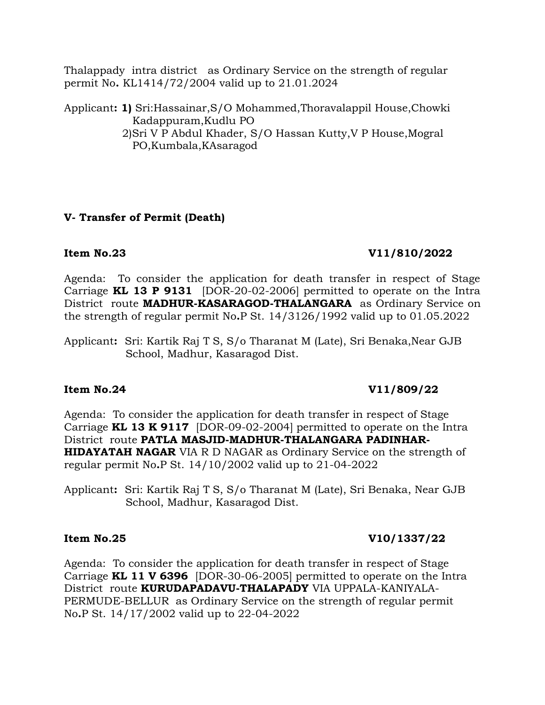Thalappady intra district as Ordinary Service on the strength of regular permit No**.** KL1414/72/2004 valid up to 21.01.2024

Applicant**: 1)** Sri:Hassainar,S/O Mohammed,Thoravalappil House,Chowki Kadappuram,Kudlu PO 2)Sri V P Abdul Khader, S/O Hassan Kutty,V P House,Mogral PO,Kumbala,KAsaragod

# **V- Transfer of Permit (Death)**

# **Item No.23 V11/810/2022**

Agenda: To consider the application for death transfer in respect of Stage Carriage **KL 13 P 9131** [DOR-20-02-2006] permitted to operate on the Intra District route **MADHUR-KASARAGOD-THALANGARA** as Ordinary Service on the strength of regular permit No**.**P St. 14/3126/1992 valid up to 01.05.2022

Applicant**:** Sri: Kartik Raj T S, S/o Tharanat M (Late), Sri Benaka,Near GJB School, Madhur, Kasaragod Dist.

# **Item No.24 V11/809/22**

Agenda: To consider the application for death transfer in respect of Stage Carriage **KL 13 K 9117** [DOR-09-02-2004] permitted to operate on the Intra District route **PATLA MASJID-MADHUR-THALANGARA PADINHAR-HIDAYATAH NAGAR** VIA R D NAGAR as Ordinary Service on the strength of regular permit No**.**P St. 14/10/2002 valid up to 21-04-2022

Applicant**:** Sri: Kartik Raj T S, S/o Tharanat M (Late), Sri Benaka, Near GJB School, Madhur, Kasaragod Dist.

# **Item No.25 V10/1337/22**

Agenda: To consider the application for death transfer in respect of Stage Carriage **KL 11 V 6396** [DOR-30-06-2005] permitted to operate on the Intra District route **KURUDAPADAVU-THALAPADY** VIA UPPALA-KANIYALA-PERMUDE-BELLUR as Ordinary Service on the strength of regular permit No**.**P St. 14/17/2002 valid up to 22-04-2022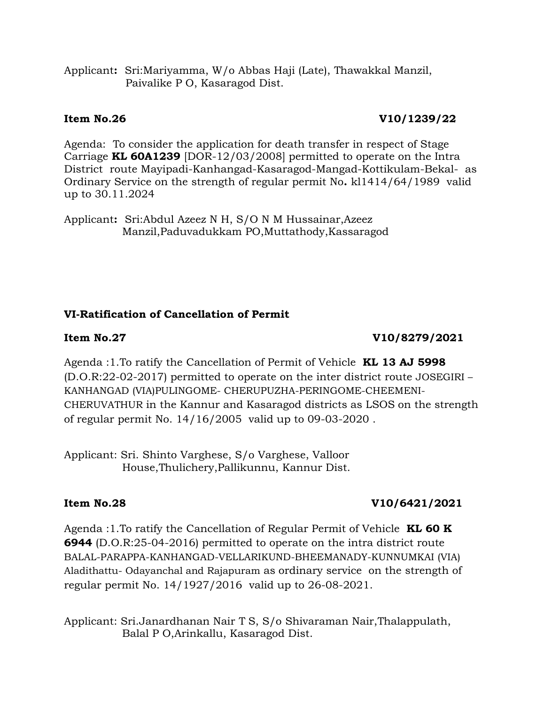Applicant**:** Sri:Mariyamma, W/o Abbas Haji (Late), Thawakkal Manzil, Paivalike P O, Kasaragod Dist.

# **Item No.26** V10/1239/22

Agenda: To consider the application for death transfer in respect of Stage Carriage **KL 60A1239** [DOR-12/03/2008] permitted to operate on the Intra District route Mayipadi-Kanhangad-Kasaragod-Mangad-Kottikulam-Bekal- as Ordinary Service on the strength of regular permit No**.** kl1414/64/1989 valid up to 30.11.2024

Applicant**:** Sri:Abdul Azeez N H, S/O N M Hussainar,Azeez Manzil,Paduvadukkam PO,Muttathody,Kassaragod

# **VI-Ratification of Cancellation of Permit**

# **Item No.27 V10/8279/2021**

Agenda :1.To ratify the Cancellation of Permit of Vehicle **KL 13 AJ 5998** (D.O.R:22-02-2017) permitted to operate on the inter district route JOSEGIRI – KANHANGAD (VIA)PULINGOME- CHERUPUZHA-PERINGOME-CHEEMENI-CHERUVATHUR in the Kannur and Kasaragod districts as LSOS on the strength of regular permit No. 14/16/2005 valid up to 09-03-2020 .

Applicant: Sri. Shinto Varghese, S/o Varghese, Valloor House,Thulichery,Pallikunnu, Kannur Dist.

# **Item No.28** V10/6421/2021

Agenda :1.To ratify the Cancellation of Regular Permit of Vehicle **KL 60 K 6944** (D.O.R:25-04-2016) permitted to operate on the intra district route BALAL-PARAPPA-KANHANGAD-VELLARIKUND-BHEEMANADY-KUNNUMKAI (VIA) Aladithattu- Odayanchal and Rajapuram as ordinary service on the strength of regular permit No. 14/1927/2016 valid up to 26-08-2021.

Applicant: Sri.Janardhanan Nair T S, S/o Shivaraman Nair,Thalappulath, Balal P O,Arinkallu, Kasaragod Dist.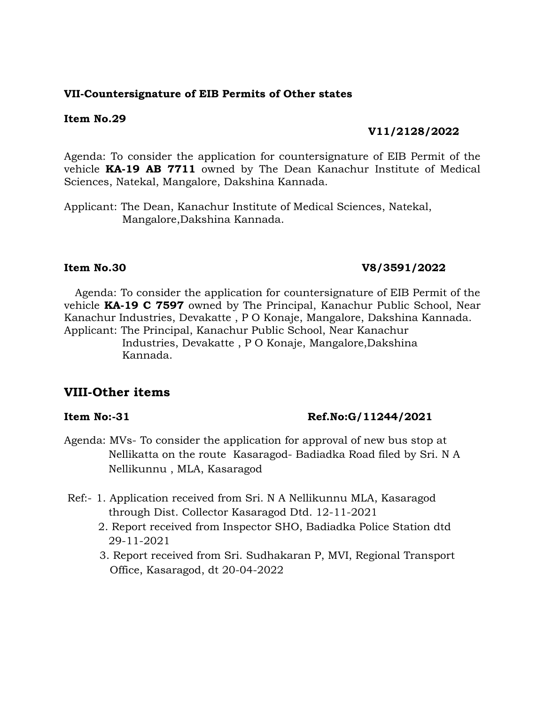# **VII-Countersignature of EIB Permits of Other states**

### **Item No.29**

### **V11/2128/2022**

Agenda: To consider the application for countersignature of EIB Permit of the vehicle **KA-19 AB 7711** owned by The Dean Kanachur Institute of Medical Sciences, Natekal, Mangalore, Dakshina Kannada.

Applicant: The Dean, Kanachur Institute of Medical Sciences, Natekal, Mangalore,Dakshina Kannada.

### **Item No.30 V8/3591/2022**

Agenda: To consider the application for countersignature of EIB Permit of the vehicle **KA-19 C 7597** owned by The Principal, Kanachur Public School, Near Kanachur Industries, Devakatte , P O Konaje, Mangalore, Dakshina Kannada. Applicant: The Principal, Kanachur Public School, Near Kanachur

> Industries, Devakatte , P O Konaje, Mangalore,Dakshina Kannada.

# **VIII-Other items**

### **Item No:-31** Ref.No:G/11244/2021

- Agenda: MVs- To consider the application for approval of new bus stop at Nellikatta on the route Kasaragod- Badiadka Road filed by Sri. N A Nellikunnu , MLA, Kasaragod
- Ref:- 1. Application received from Sri. N A Nellikunnu MLA, Kasaragod through Dist. Collector Kasaragod Dtd. 12-11-2021
	- 2. Report received from Inspector SHO, Badiadka Police Station dtd 29-11-2021
	- 3. Report received from Sri. Sudhakaran P, MVI, Regional Transport Office, Kasaragod, dt 20-04-2022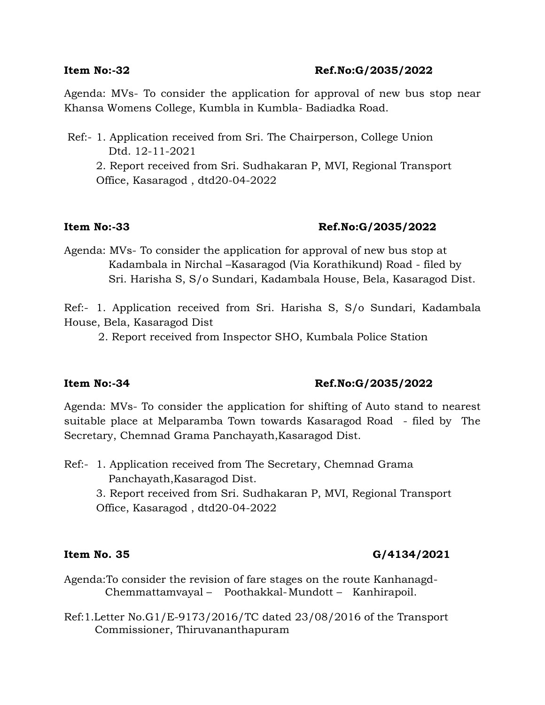## **Item No:-32 Ref.No:G/2035/2022**

Agenda: MVs- To consider the application for approval of new bus stop near Khansa Womens College, Kumbla in Kumbla- Badiadka Road.

Ref:- 1. Application received from Sri. The Chairperson, College Union Dtd. 12-11-2021 2. Report received from Sri. Sudhakaran P, MVI, Regional Transport Office, Kasaragod , dtd20-04-2022

# **Item No:-33 Ref.No:G/2035/2022**

Agenda: MVs- To consider the application for approval of new bus stop at Kadambala in Nirchal –Kasaragod (Via Korathikund) Road - filed by Sri. Harisha S, S/o Sundari, Kadambala House, Bela, Kasaragod Dist.

Ref:- 1. Application received from Sri. Harisha S, S/o Sundari, Kadambala House, Bela, Kasaragod Dist

2. Report received from Inspector SHO, Kumbala Police Station

# **Item No:-34 Ref.No:G/2035/2022**

Agenda: MVs- To consider the application for shifting of Auto stand to nearest suitable place at Melparamba Town towards Kasaragod Road - filed by The Secretary, Chemnad Grama Panchayath,Kasaragod Dist.

Ref:- 1. Application received from The Secretary, Chemnad Grama Panchayath,Kasaragod Dist.

3. Report received from Sri. Sudhakaran P, MVI, Regional Transport Office, Kasaragod , dtd20-04-2022

# **Item No. 35 G/4134/2021**

- Agenda:To consider the revision of fare stages on the route Kanhanagd- Chemmattamvayal – Poothakkal-Mundott – Kanhirapoil.
- Ref:1.Letter No.G1/E-9173/2016/TC dated 23/08/2016 of the Transport Commissioner, Thiruvananthapuram